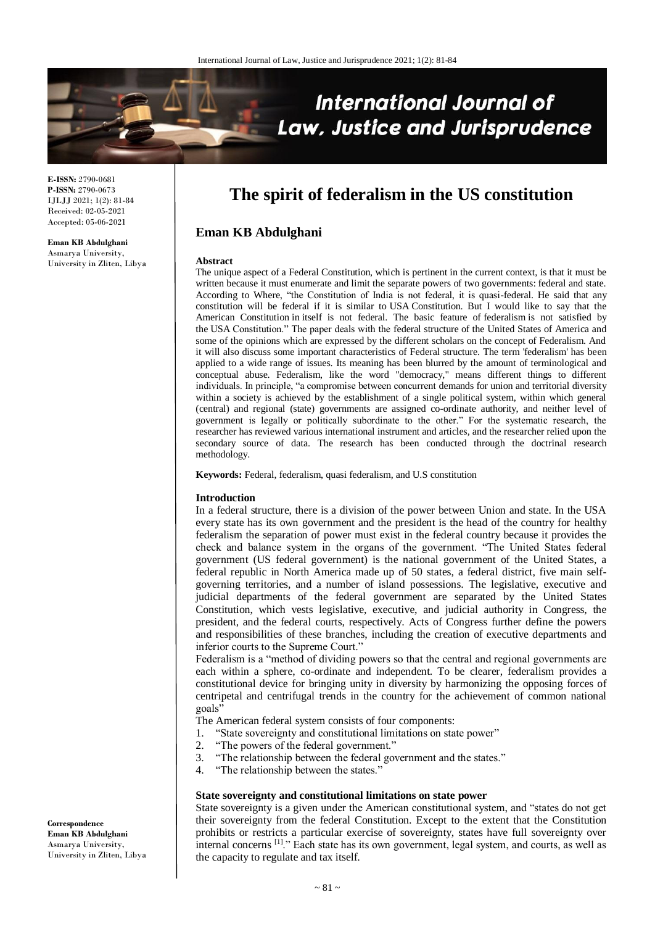

**E-ISSN:** 2790-0681 **P-ISSN:** 2790-0673 IJLJJ 2021; 1(2): 81-84 Received: 02-05-2021 Accepted: 05-06-2021

**Eman KB Abdulghani** Asmarya University, University in Zliten, Libya

# **The spirit of federalism in the US constitution**

## **Eman KB Abdulghani**

#### **Abstract**

The unique aspect of a Federal Constitution, which is pertinent in the current context, is that it must be written because it must enumerate and limit the separate powers of two governments: federal and state. According to Where, "the Constitution of India is not federal, it is quasi-federal. He said that any constitution will be federal if it is similar to USA Constitution. But I would like to say that the American Constitution in itself is not federal. The basic feature of federalism is not satisfied by the USA Constitution." The paper deals with the federal structure of the United States of America and some of the opinions which are expressed by the different scholars on the concept of Federalism. And it will also discuss some important characteristics of Federal structure. The term 'federalism' has been applied to a wide range of issues. Its meaning has been blurred by the amount of terminological and conceptual abuse. Federalism, like the word "democracy," means different things to different individuals. In principle, "a compromise between concurrent demands for union and territorial diversity within a society is achieved by the establishment of a single political system, within which general (central) and regional (state) governments are assigned co-ordinate authority, and neither level of government is legally or politically subordinate to the other." For the systematic research, the researcher has reviewed various international instrument and articles, and the researcher relied upon the secondary source of data. The research has been conducted through the doctrinal research methodology.

**Keywords:** Federal, federalism, quasi federalism, and U.S constitution

#### **Introduction**

In a federal structure, there is a division of the power between Union and state. In the USA every state has its own government and the president is the head of the country for healthy federalism the separation of power must exist in the federal country because it provides the check and balance system in the organs of the government. "The United States federal government (US federal government) is the national government of the United States, a federal republic in North America made up of 50 states, a federal district, five main selfgoverning territories, and a number of island possessions. The legislative, executive and judicial departments of the federal government are separated by the United States Constitution, which vests legislative, executive, and judicial authority in Congress, the president, and the federal courts, respectively. Acts of Congress further define the powers and responsibilities of these branches, including the creation of executive departments and inferior courts to the Supreme Court."

Federalism is a "method of dividing powers so that the central and regional governments are each within a sphere, co-ordinate and independent. To be clearer, federalism provides a constitutional device for bringing unity in diversity by harmonizing the opposing forces of centripetal and centrifugal trends in the country for the achievement of common national goals"

The American federal system consists of four components:

- 1. "State sovereignty and constitutional limitations on state power"
- 2. "The powers of the federal government."
- 3. "The relationship between the federal government and the states."
- 4. "The relationship between the states."

#### **State sovereignty and constitutional limitations on state power**

State sovereignty is a given under the American constitutional system, and "states do not get their sovereignty from the federal Constitution. Except to the extent that the Constitution prohibits or restricts a particular exercise of sovereignty, states have full sovereignty over internal concerns<sup>[1]</sup>." Each state has its own government, legal system, and courts, as well as the capacity to regulate and tax itself.

**Correspondence Eman KB Abdulghani** Asmarya University, University in Zliten, Libya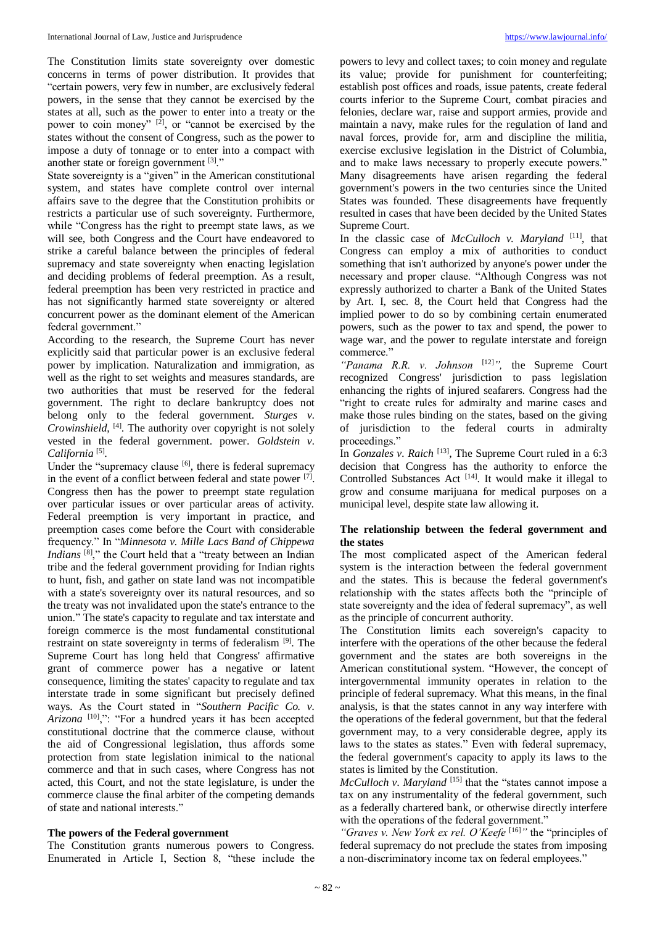The Constitution limits state sovereignty over domestic concerns in terms of power distribution. It provides that "certain powers, very few in number, are exclusively federal powers, in the sense that they cannot be exercised by the states at all, such as the power to enter into a treaty or the power to coin money" <sup>[2]</sup>, or "cannot be exercised by the states without the consent of Congress, such as the power to impose a duty of tonnage or to enter into a compact with another state or foreign government [3]."

State sovereignty is a "given" in the American constitutional system, and states have complete control over internal affairs save to the degree that the Constitution prohibits or restricts a particular use of such sovereignty. Furthermore, while "Congress has the right to preempt state laws, as we will see, both Congress and the Court have endeavored to strike a careful balance between the principles of federal supremacy and state sovereignty when enacting legislation and deciding problems of federal preemption. As a result, federal preemption has been very restricted in practice and has not significantly harmed state sovereignty or altered concurrent power as the dominant element of the American federal government."

According to the research, the Supreme Court has never explicitly said that particular power is an exclusive federal power by implication. Naturalization and immigration, as well as the right to set weights and measures standards, are two authorities that must be reserved for the federal government. The right to declare bankruptcy does not belong only to the federal government. *Sturges v. Crowinshield*, [4] . The authority over copyright is not solely vested in the federal government. power. *Goldstein v.*  California<sup>[5]</sup>.

Under the "supremacy clause  $[6]$ , there is federal supremacy in the event of a conflict between federal and state power  $[7]$ . Congress then has the power to preempt state regulation over particular issues or over particular areas of activity. Federal preemption is very important in practice, and preemption cases come before the Court with considerable frequency." In "*Minnesota v. Mille Lacs Band of Chippewa Indians* <sup>[8]</sup>," the Court held that a "treaty between an Indian tribe and the federal government providing for Indian rights to hunt, fish, and gather on state land was not incompatible with a state's sovereignty over its natural resources, and so the treaty was not invalidated upon the state's entrance to the union." The state's capacity to regulate and tax interstate and foreign commerce is the most fundamental constitutional restraint on state sovereignty in terms of federalism<sup>[9]</sup>. The Supreme Court has long held that Congress' affirmative grant of commerce power has a negative or latent consequence, limiting the states' capacity to regulate and tax interstate trade in some significant but precisely defined ways. As the Court stated in "*Southern Pacific Co. v.*  Arizona<sup>[10]</sup>,": "For a hundred years it has been accepted constitutional doctrine that the commerce clause, without the aid of Congressional legislation, thus affords some protection from state legislation inimical to the national commerce and that in such cases, where Congress has not acted, this Court, and not the state legislature, is under the commerce clause the final arbiter of the competing demands of state and national interests."

#### **The powers of the Federal government**

The Constitution grants numerous powers to Congress. Enumerated in Article I, Section 8, "these include the

powers to levy and collect taxes; to coin money and regulate its value; provide for punishment for counterfeiting; establish post offices and roads, issue patents, create federal courts inferior to the Supreme Court, combat piracies and felonies, declare war, raise and support armies, provide and maintain a navy, make rules for the regulation of land and naval forces, provide for, arm and discipline the militia, exercise exclusive legislation in the District of Columbia, and to make laws necessary to properly execute powers." Many disagreements have arisen regarding the federal government's powers in the two centuries since the United States was founded. These disagreements have frequently resulted in cases that have been decided by the United States Supreme Court.

In the classic case of *McCulloch v. Maryland* [11], that Congress can employ a mix of authorities to conduct something that isn't authorized by anyone's power under the necessary and proper clause. "Although Congress was not expressly authorized to charter a Bank of the United States by Art. I, sec. 8, the Court held that Congress had the implied power to do so by combining certain enumerated powers, such as the power to tax and spend, the power to wage war, and the power to regulate interstate and foreign commerce."

*"Panama R.R. v. Johnson* [12]*",* the Supreme Court recognized Congress' jurisdiction to pass legislation enhancing the rights of injured seafarers. Congress had the "right to create rules for admiralty and marine cases and make those rules binding on the states, based on the giving of jurisdiction to the federal courts in admiralty proceedings."

In *Gonzales v. Raich* <sup>[13]</sup>, The Supreme Court ruled in a 6:3 decision that Congress has the authority to enforce the Controlled Substances Act<sup>[14]</sup>. It would make it illegal to grow and consume marijuana for medical purposes on a municipal level, despite state law allowing it.

#### **The relationship between the federal government and the states**

The most complicated aspect of the American federal system is the interaction between the federal government and the states. This is because the federal government's relationship with the states affects both the "principle of state sovereignty and the idea of federal supremacy", as well as the principle of concurrent authority.

The Constitution limits each sovereign's capacity to interfere with the operations of the other because the federal government and the states are both sovereigns in the American constitutional system. "However, the concept of intergovernmental immunity operates in relation to the principle of federal supremacy. What this means, in the final analysis, is that the states cannot in any way interfere with the operations of the federal government, but that the federal government may, to a very considerable degree, apply its laws to the states as states." Even with federal supremacy, the federal government's capacity to apply its laws to the states is limited by the Constitution.

*McCulloch v. Maryland*<sup>[15]</sup> that the "states cannot impose a tax on any instrumentality of the federal government, such as a federally chartered bank, or otherwise directly interfere with the operations of the federal government."

*"Graves v. New York ex rel. O'Keefe* [16]*"* the "principles of federal supremacy do not preclude the states from imposing a non-discriminatory income tax on federal employees."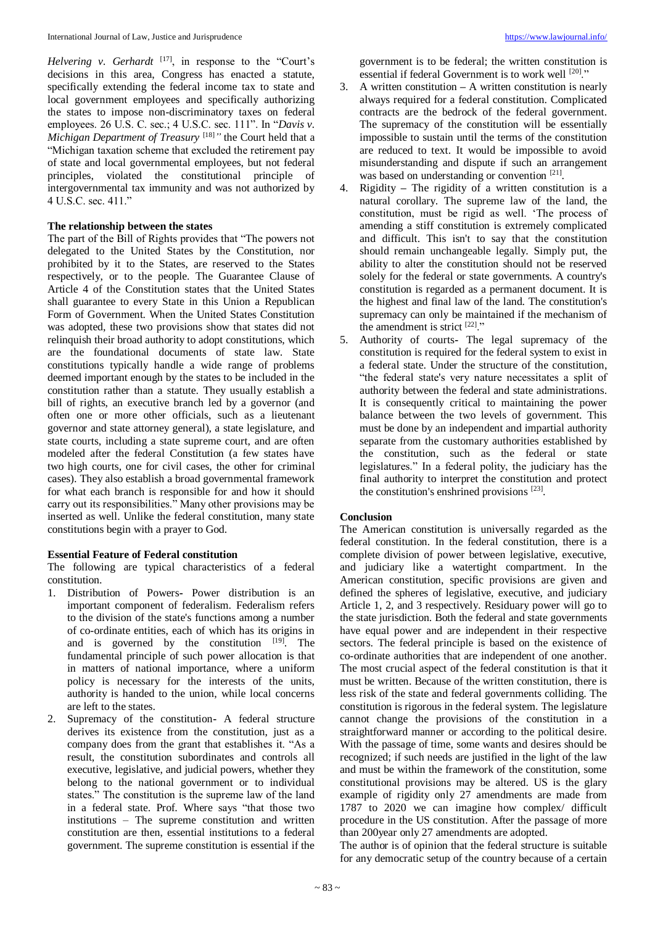Helvering v. Gerhardt<sup>[17]</sup>, in response to the "Court's decisions in this area, Congress has enacted a statute, specifically extending the federal income tax to state and local government employees and specifically authorizing the states to impose non-discriminatory taxes on federal employees. 26 U.S. C. sec.; 4 U.S.C. sec. 111". In "*Davis v. Michigan Department of Treasury* [18]<sup>"</sup> the Court held that a "Michigan taxation scheme that excluded the retirement pay of state and local governmental employees, but not federal principles, violated the constitutional principle of intergovernmental tax immunity and was not authorized by 4 U.S.C. sec. 411."

## **The relationship between the states**

The part of the Bill of Rights provides that "The powers not delegated to the United States by the Constitution, nor prohibited by it to the States, are reserved to the States respectively, or to the people. The Guarantee Clause of Article 4 of the Constitution states that the United States shall guarantee to every State in this Union a Republican Form of Government. When the United States Constitution was adopted, these two provisions show that states did not relinquish their broad authority to adopt constitutions, which are the foundational documents of state law. State constitutions typically handle a wide range of problems deemed important enough by the states to be included in the constitution rather than a statute. They usually establish a bill of rights, an executive branch led by a governor (and often one or more other officials, such as a lieutenant governor and state attorney general), a state legislature, and state courts, including a state supreme court, and are often modeled after the federal Constitution (a few states have two high courts, one for civil cases, the other for criminal cases). They also establish a broad governmental framework for what each branch is responsible for and how it should carry out its responsibilities." Many other provisions may be inserted as well. Unlike the federal constitution, many state constitutions begin with a prayer to God.

## **Essential Feature of Federal constitution**

The following are typical characteristics of a federal constitution.

- 1. Distribution of Powers**-** Power distribution is an important component of federalism. Federalism refers to the division of the state's functions among a number of co-ordinate entities, each of which has its origins in and is governed by the constitution  $[19]$ . The fundamental principle of such power allocation is that in matters of national importance, where a uniform policy is necessary for the interests of the units, authority is handed to the union, while local concerns are left to the states.
- 2. Supremacy of the constitution**-** A federal structure derives its existence from the constitution, just as a company does from the grant that establishes it. "As a result, the constitution subordinates and controls all executive, legislative, and judicial powers, whether they belong to the national government or to individual states." The constitution is the supreme law of the land in a federal state. Prof. Where says "that those two institutions – The supreme constitution and written constitution are then, essential institutions to a federal government. The supreme constitution is essential if the

government is to be federal; the written constitution is essential if federal Government is to work well [20]."

- 3. A written constitution **–** A written constitution is nearly always required for a federal constitution. Complicated contracts are the bedrock of the federal government. The supremacy of the constitution will be essentially impossible to sustain until the terms of the constitution are reduced to text. It would be impossible to avoid misunderstanding and dispute if such an arrangement was based on understanding or convention [21].
- 4. Rigidity **–** The rigidity of a written constitution is a natural corollary. The supreme law of the land, the constitution, must be rigid as well. 'The process of amending a stiff constitution is extremely complicated and difficult. This isn't to say that the constitution should remain unchangeable legally. Simply put, the ability to alter the constitution should not be reserved solely for the federal or state governments. A country's constitution is regarded as a permanent document. It is the highest and final law of the land. The constitution's supremacy can only be maintained if the mechanism of the amendment is strict  $[22]$ ."
- 5. Authority of courts**-** The legal supremacy of the constitution is required for the federal system to exist in a federal state. Under the structure of the constitution, "the federal state's very nature necessitates a split of authority between the federal and state administrations. It is consequently critical to maintaining the power balance between the two levels of government. This must be done by an independent and impartial authority separate from the customary authorities established by the constitution, such as the federal or state legislatures." In a federal polity, the judiciary has the final authority to interpret the constitution and protect the constitution's enshrined provisions [23].

## **Conclusion**

The American constitution is universally regarded as the federal constitution. In the federal constitution, there is a complete division of power between legislative, executive, and judiciary like a watertight compartment. In the American constitution, specific provisions are given and defined the spheres of legislative, executive, and judiciary Article 1, 2, and 3 respectively. Residuary power will go to the state jurisdiction. Both the federal and state governments have equal power and are independent in their respective sectors. The federal principle is based on the existence of co-ordinate authorities that are independent of one another. The most crucial aspect of the federal constitution is that it must be written. Because of the written constitution, there is less risk of the state and federal governments colliding. The constitution is rigorous in the federal system. The legislature cannot change the provisions of the constitution in a straightforward manner or according to the political desire. With the passage of time, some wants and desires should be recognized; if such needs are justified in the light of the law and must be within the framework of the constitution, some constitutional provisions may be altered. US is the glary example of rigidity only 27 amendments are made from 1787 to 2020 we can imagine how complex/ difficult procedure in the US constitution. After the passage of more than 200year only 27 amendments are adopted.

The author is of opinion that the federal structure is suitable for any democratic setup of the country because of a certain